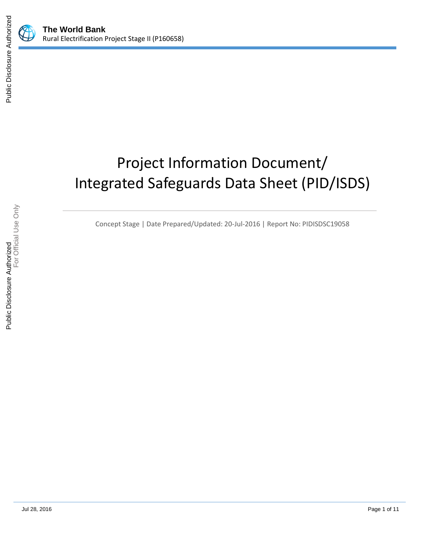

# Project Information Document/ Integrated Safeguards Data Sheet (PID/ISDS)

Concept Stage | Date Prepared/Updated: 20-Jul-2016 | Report No: PIDISDSC19058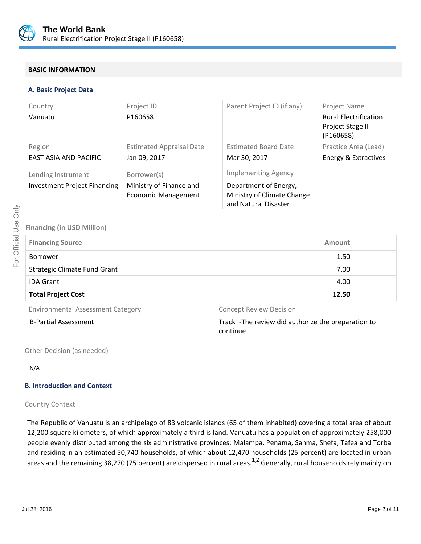

## **BASIC INFORMATION**

#### **A. Basic Project Data**

| Country<br>Vanuatu                                        | Project ID<br>P160658                                                | Parent Project ID (if any)                                                                                | Project Name<br><b>Rural Electrification</b><br>Project Stage II<br>(P160658) |
|-----------------------------------------------------------|----------------------------------------------------------------------|-----------------------------------------------------------------------------------------------------------|-------------------------------------------------------------------------------|
| Region<br>EAST ASIA AND PACIFIC                           | <b>Estimated Appraisal Date</b><br>Jan 09, 2017                      | <b>Estimated Board Date</b><br>Mar 30, 2017                                                               | Practice Area (Lead)<br>Energy & Extractives                                  |
| Lending Instrument<br><b>Investment Project Financing</b> | Borrower(s)<br>Ministry of Finance and<br><b>Economic Management</b> | <b>Implementing Agency</b><br>Department of Energy,<br>Ministry of Climate Change<br>and Natural Disaster |                                                                               |

## **Financing (in USD Million)**

| <b>Financing Source</b>             | <b>Amount</b> |  |
|-------------------------------------|---------------|--|
| <b>Borrower</b>                     | 1.50          |  |
| <b>Strategic Climate Fund Grant</b> | 7.00          |  |
| <b>IDA Grant</b>                    | 4.00          |  |
| <b>Total Project Cost</b>           | 12.50         |  |

Environmental Assessment Category **Concept Review Decision** 

B-Partial Assessment Track I-The review did authorize the preparation to continue

Other Decision (as needed)

N/A

## **B. Introduction and Context**

## Country Context

The Republic of Vanuatu is an archipelago of 83 volcanic islands (65 of them inhabited) covering a total area of about 12,200 square kilometers, of which approximately a third is land. Vanuatu has a population of approximately 258,000 people evenly distributed among the six administrative provinces: Malampa, Penama, Sanma, Shefa, Tafea and Torba and residing in an estimated 50,740 households, of which about 12,470 households (25 percent) are located in urban areas and the remaining 38,270 (75 percent) are dispersed in rural areas.<sup>1,2</sup> Generally, rural households rely mainly on

 $\overline{a}$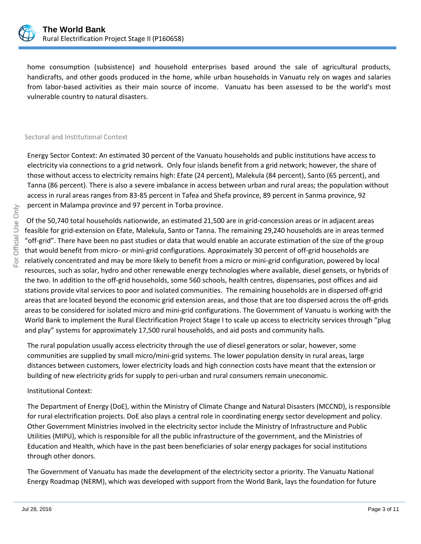

home consumption (subsistence) and household enterprises based around the sale of agricultural products, handicrafts, and other goods produced in the home, while urban households in Vanuatu rely on wages and salaries from labor-based activities as their main source of income. Vanuatu has been assessed to be the world's most vulnerable country to natural disasters.

### Sectoral and Institutional Context

Energy Sector Context: An estimated 30 percent of the Vanuatu households and public institutions have access to electricity via connections to a grid network. Only four islands benefit from a grid network; however, the share of those without access to electricity remains high: Efate (24 percent), Malekula (84 percent), Santo (65 percent), and Tanna (86 percent). There is also a severe imbalance in access between urban and rural areas; the population without access in rural areas ranges from 83-85 percent in Tafea and Shefa province, 89 percent in Sanma province, 92 percent in Malampa province and 97 percent in Torba province.

Of the 50,740 total households nationwide, an estimated 21,500 are in grid-concession areas or in adjacent areas feasible for grid-extension on Efate, Malekula, Santo or Tanna. The remaining 29,240 households are in areas termed "off-grid". There have been no past studies or data that would enable an accurate estimation of the size of the group that would benefit from micro- or mini-grid configurations. Approximately 30 percent of off-grid households are relatively concentrated and may be more likely to benefit from a micro or mini-grid configuration, powered by local resources, such as solar, hydro and other renewable energy technologies where available, diesel gensets, or hybrids of the two. In addition to the off-grid households, some 560 schools, health centres, dispensaries, post offices and aid stations provide vital services to poor and isolated communities. The remaining households are in dispersed off-grid areas that are located beyond the economic grid extension areas, and those that are too dispersed across the off-grids areas to be considered for isolated micro and mini-grid configurations. The Government of Vanuatu is working with the World Bank to implement the Rural Electrification Project Stage I to scale up access to electricity services through "plug and play" systems for approximately 17,500 rural households, and aid posts and community halls.

The rural population usually access electricity through the use of diesel generators or solar, however, some communities are supplied by small micro/mini-grid systems. The lower population density in rural areas, large distances between customers, lower electricity loads and high connection costs have meant that the extension or building of new electricity grids for supply to peri-urban and rural consumers remain uneconomic.

## Institutional Context:

The Department of Energy (DoE), within the Ministry of Climate Change and Natural Disasters (MCCND), is responsible for rural electrification projects. DoE also plays a central role in coordinating energy sector development and policy. Other Government Ministries involved in the electricity sector include the Ministry of Infrastructure and Public Utilities (MIPU), which is responsible for all the public infrastructure of the government, and the Ministries of Education and Health, which have in the past been beneficiaries of solar energy packages for social institutions through other donors.

The Government of Vanuatu has made the development of the electricity sector a priority. The Vanuatu National Energy Roadmap (NERM), which was developed with support from the World Bank, lays the foundation for future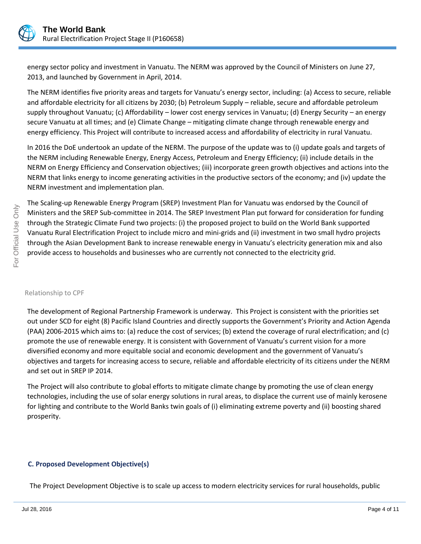

energy sector policy and investment in Vanuatu. The NERM was approved by the Council of Ministers on June 27, 2013, and launched by Government in April, 2014.

The NERM identifies five priority areas and targets for Vanuatu's energy sector, including: (a) Access to secure, reliable and affordable electricity for all citizens by 2030; (b) Petroleum Supply – reliable, secure and affordable petroleum supply throughout Vanuatu; (c) Affordability – lower cost energy services in Vanuatu; (d) Energy Security – an energy secure Vanuatu at all times; and (e) Climate Change – mitigating climate change through renewable energy and energy efficiency. This Project will contribute to increased access and affordability of electricity in rural Vanuatu.

In 2016 the DoE undertook an update of the NERM. The purpose of the update was to (i) update goals and targets of the NERM including Renewable Energy, Energy Access, Petroleum and Energy Efficiency; (ii) include details in the NERM on Energy Efficiency and Conservation objectives; (iii) incorporate green growth objectives and actions into the NERM that links energy to income generating activities in the productive sectors of the economy; and (iv) update the NERM investment and implementation plan.

The Scaling-up Renewable Energy Program (SREP) Investment Plan for Vanuatu was endorsed by the Council of Ministers and the SREP Sub-committee in 2014. The SREP Investment Plan put forward for consideration for funding through the Strategic Climate Fund two projects: (i) the proposed project to build on the World Bank supported Vanuatu Rural Electrification Project to include micro and mini-grids and (ii) investment in two small hydro projects through the Asian Development Bank to increase renewable energy in Vanuatu's electricity generation mix and also provide access to households and businesses who are currently not connected to the electricity grid.

#### Relationship to CPF

The development of Regional Partnership Framework is underway. This Project is consistent with the priorities set out under SCD for eight (8) Pacific Island Countries and directly supports the Government's Priority and Action Agenda (PAA) 2006-2015 which aims to: (a) reduce the cost of services; (b) extend the coverage of rural electrification; and (c) promote the use of renewable energy. It is consistent with Government of Vanuatu's current vision for a more diversified economy and more equitable social and economic development and the government of Vanuatu's objectives and targets for increasing access to secure, reliable and affordable electricity of its citizens under the NERM and set out in SREP IP 2014.

The Project will also contribute to global efforts to mitigate climate change by promoting the use of clean energy technologies, including the use of solar energy solutions in rural areas, to displace the current use of mainly kerosene for lighting and contribute to the World Banks twin goals of (i) eliminating extreme poverty and (ii) boosting shared prosperity.

## **C. Proposed Development Objective(s)**

The Project Development Objective is to scale up access to modern electricity services for rural households, public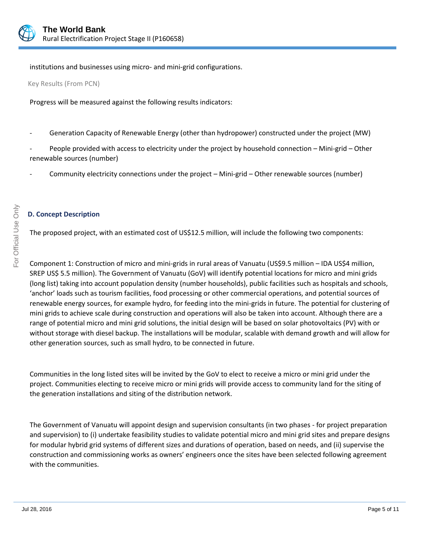

institutions and businesses using micro- and mini-grid configurations.

Key Results (From PCN)

Progress will be measured against the following results indicators:

Generation Capacity of Renewable Energy (other than hydropower) constructed under the project (MW)

People provided with access to electricity under the project by household connection – Mini-grid – Other renewable sources (number)

Community electricity connections under the project – Mini-grid – Other renewable sources (number)

# **D. Concept Description**

The proposed project, with an estimated cost of US\$12.5 million, will include the following two components:

Component 1: Construction of micro and mini-grids in rural areas of Vanuatu (US\$9.5 million – IDA US\$4 million, SREP US\$ 5.5 million). The Government of Vanuatu (GoV) will identify potential locations for micro and mini grids (long list) taking into account population density (number households), public facilities such as hospitals and schools, 'anchor' loads such as tourism facilities, food processing or other commercial operations, and potential sources of renewable energy sources, for example hydro, for feeding into the mini-grids in future. The potential for clustering of mini grids to achieve scale during construction and operations will also be taken into account. Although there are a range of potential micro and mini grid solutions, the initial design will be based on solar photovoltaics (PV) with or without storage with diesel backup. The installations will be modular, scalable with demand growth and will allow for other generation sources, such as small hydro, to be connected in future.

Communities in the long listed sites will be invited by the GoV to elect to receive a micro or mini grid under the project. Communities electing to receive micro or mini grids will provide access to community land for the siting of the generation installations and siting of the distribution network.

The Government of Vanuatu will appoint design and supervision consultants (in two phases - for project preparation and supervision) to (i) undertake feasibility studies to validate potential micro and mini grid sites and prepare designs for modular hybrid grid systems of different sizes and durations of operation, based on needs, and (ii) supervise the construction and commissioning works as owners' engineers once the sites have been selected following agreement with the communities.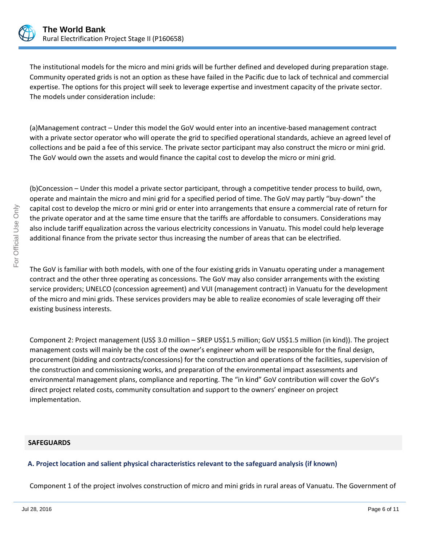

The institutional models for the micro and mini grids will be further defined and developed during preparation stage. Community operated grids is not an option as these have failed in the Pacific due to lack of technical and commercial expertise. The options for this project will seek to leverage expertise and investment capacity of the private sector. The models under consideration include:

(a)Management contract – Under this model the GoV would enter into an incentive-based management contract with a private sector operator who will operate the grid to specified operational standards, achieve an agreed level of collections and be paid a fee of this service. The private sector participant may also construct the micro or mini grid. The GoV would own the assets and would finance the capital cost to develop the micro or mini grid.

(b)Concession – Under this model a private sector participant, through a competitive tender process to build, own, operate and maintain the micro and mini grid for a specified period of time. The GoV may partly "buy-down" the capital cost to develop the micro or mini grid or enter into arrangements that ensure a commercial rate of return for the private operator and at the same time ensure that the tariffs are affordable to consumers. Considerations may also include tariff equalization across the various electricity concessions in Vanuatu. This model could help leverage additional finance from the private sector thus increasing the number of areas that can be electrified.

The GoV is familiar with both models, with one of the four existing grids in Vanuatu operating under a management contract and the other three operating as concessions. The GoV may also consider arrangements with the existing service providers; UNELCO (concession agreement) and VUI (management contract) in Vanuatu for the development of the micro and mini grids. These services providers may be able to realize economies of scale leveraging off their existing business interests.

Component 2: Project management (US\$ 3.0 million – SREP US\$1.5 million; GoV US\$1.5 million (in kind)). The project management costs will mainly be the cost of the owner's engineer whom will be responsible for the final design, procurement (bidding and contracts/concessions) for the construction and operations of the facilities, supervision of the construction and commissioning works, and preparation of the environmental impact assessments and environmental management plans, compliance and reporting. The "in kind" GoV contribution will cover the GoV's direct project related costs, community consultation and support to the owners' engineer on project implementation.

## **SAFEGUARDS**

# **A. Project location and salient physical characteristics relevant to the safeguard analysis (if known)**

Component 1 of the project involves construction of micro and mini grids in rural areas of Vanuatu. The Government of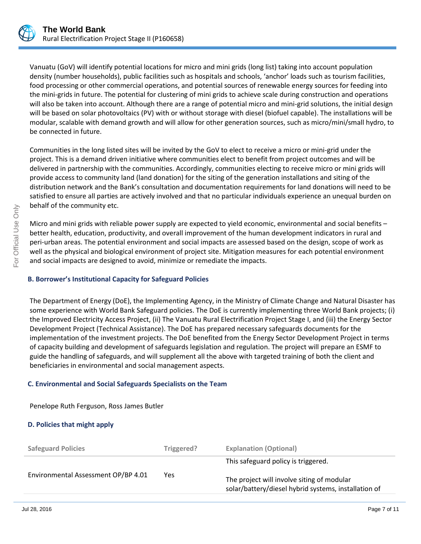

Vanuatu (GoV) will identify potential locations for micro and mini grids (long list) taking into account population density (number households), public facilities such as hospitals and schools, 'anchor' loads such as tourism facilities, food processing or other commercial operations, and potential sources of renewable energy sources for feeding into the mini-grids in future. The potential for clustering of mini grids to achieve scale during construction and operations will also be taken into account. Although there are a range of potential micro and mini-grid solutions, the initial design will be based on solar photovoltaics (PV) with or without storage with diesel (biofuel capable). The installations will be modular, scalable with demand growth and will allow for other generation sources, such as micro/mini/small hydro, to be connected in future.

Communities in the long listed sites will be invited by the GoV to elect to receive a micro or mini-grid under the project. This is a demand driven initiative where communities elect to benefit from project outcomes and will be delivered in partnership with the communities. Accordingly, communities electing to receive micro or mini grids will provide access to community land (land donation) for the siting of the generation installations and siting of the distribution network and the Bank's consultation and documentation requirements for land donations will need to be satisfied to ensure all parties are actively involved and that no particular individuals experience an unequal burden on behalf of the community etc.

Micro and mini grids with reliable power supply are expected to yield economic, environmental and social benefits – better health, education, productivity, and overall improvement of the human development indicators in rural and peri-urban areas. The potential environment and social impacts are assessed based on the design, scope of work as well as the physical and biological environment of project site. Mitigation measures for each potential environment and social impacts are designed to avoid, minimize or remediate the impacts.

# **B. Borrower's Institutional Capacity for Safeguard Policies**

The Department of Energy (DoE), the Implementing Agency, in the Ministry of Climate Change and Natural Disaster has some experience with World Bank Safeguard policies. The DoE is currently implementing three World Bank projects; (i) the Improved Electricity Access Project, (ii) The Vanuatu Rural Electrification Project Stage I, and (iii) the Energy Sector Development Project (Technical Assistance). The DoE has prepared necessary safeguards documents for the implementation of the investment projects. The DoE benefited from the Energy Sector Development Project in terms of capacity building and development of safeguards legislation and regulation. The project will prepare an ESMF to guide the handling of safeguards, and will supplement all the above with targeted training of both the client and beneficiaries in environmental and social management aspects.

# **C. Environmental and Social Safeguards Specialists on the Team**

Penelope Ruth Ferguson, Ross James Butler

# **D. Policies that might apply**

| <b>Safeguard Policies</b>           | Triggered? | <b>Explanation (Optional)</b>                                                                                                             |
|-------------------------------------|------------|-------------------------------------------------------------------------------------------------------------------------------------------|
| Environmental Assessment OP/BP 4.01 | Yes        | This safeguard policy is triggered.<br>The project will involve siting of modular<br>solar/battery/diesel hybrid systems, installation of |
|                                     |            |                                                                                                                                           |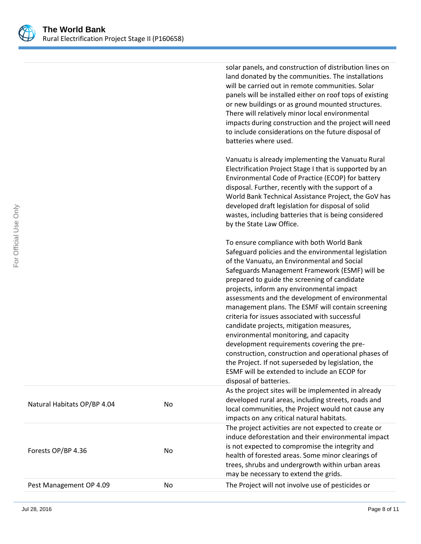

|                             |    | solar panels, and construction of distribution lines on<br>land donated by the communities. The installations<br>will be carried out in remote communities. Solar<br>panels will be installed either on roof tops of existing<br>or new buildings or as ground mounted structures.<br>There will relatively minor local environmental<br>impacts during construction and the project will need<br>to include considerations on the future disposal of<br>batteries where used.                                                                                                                                                                                                                                                                                                         |
|-----------------------------|----|----------------------------------------------------------------------------------------------------------------------------------------------------------------------------------------------------------------------------------------------------------------------------------------------------------------------------------------------------------------------------------------------------------------------------------------------------------------------------------------------------------------------------------------------------------------------------------------------------------------------------------------------------------------------------------------------------------------------------------------------------------------------------------------|
|                             |    | Vanuatu is already implementing the Vanuatu Rural<br>Electrification Project Stage I that is supported by an<br>Environmental Code of Practice (ECOP) for battery<br>disposal. Further, recently with the support of a<br>World Bank Technical Assistance Project, the GoV has<br>developed draft legislation for disposal of solid<br>wastes, including batteries that is being considered<br>by the State Law Office.                                                                                                                                                                                                                                                                                                                                                                |
|                             |    | To ensure compliance with both World Bank<br>Safeguard policies and the environmental legislation<br>of the Vanuatu, an Environmental and Social<br>Safeguards Management Framework (ESMF) will be<br>prepared to guide the screening of candidate<br>projects, inform any environmental impact<br>assessments and the development of environmental<br>management plans. The ESMF will contain screening<br>criteria for issues associated with successful<br>candidate projects, mitigation measures,<br>environmental monitoring, and capacity<br>development requirements covering the pre-<br>construction, construction and operational phases of<br>the Project. If not superseded by legislation, the<br>ESMF will be extended to include an ECOP for<br>disposal of batteries. |
| Natural Habitats OP/BP 4.04 | No | As the project sites will be implemented in already<br>developed rural areas, including streets, roads and<br>local communities, the Project would not cause any<br>impacts on any critical natural habitats.                                                                                                                                                                                                                                                                                                                                                                                                                                                                                                                                                                          |
| Forests OP/BP 4.36          | No | The project activities are not expected to create or<br>induce deforestation and their environmental impact<br>is not expected to compromise the integrity and<br>health of forested areas. Some minor clearings of<br>trees, shrubs and undergrowth within urban areas<br>may be necessary to extend the grids.                                                                                                                                                                                                                                                                                                                                                                                                                                                                       |
| Pest Management OP 4.09     | No | The Project will not involve use of pesticides or                                                                                                                                                                                                                                                                                                                                                                                                                                                                                                                                                                                                                                                                                                                                      |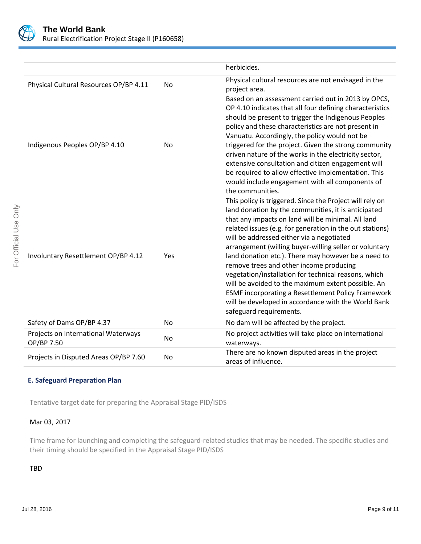

For Official Use Only

For Official Use Only

|                                                   |           | herbicides.                                                                                                                                                                                                                                                                                                                                                                                                                                                                                                                                                                                                                                                                                             |
|---------------------------------------------------|-----------|---------------------------------------------------------------------------------------------------------------------------------------------------------------------------------------------------------------------------------------------------------------------------------------------------------------------------------------------------------------------------------------------------------------------------------------------------------------------------------------------------------------------------------------------------------------------------------------------------------------------------------------------------------------------------------------------------------|
| Physical Cultural Resources OP/BP 4.11            | No        | Physical cultural resources are not envisaged in the<br>project area.                                                                                                                                                                                                                                                                                                                                                                                                                                                                                                                                                                                                                                   |
| Indigenous Peoples OP/BP 4.10                     | No        | Based on an assessment carried out in 2013 by OPCS,<br>OP 4.10 indicates that all four defining characteristics<br>should be present to trigger the Indigenous Peoples<br>policy and these characteristics are not present in<br>Vanuatu. Accordingly, the policy would not be<br>triggered for the project. Given the strong community<br>driven nature of the works in the electricity sector,<br>extensive consultation and citizen engagement will<br>be required to allow effective implementation. This<br>would include engagement with all components of<br>the communities.                                                                                                                    |
| Involuntary Resettlement OP/BP 4.12               | Yes       | This policy is triggered. Since the Project will rely on<br>land donation by the communities, it is anticipated<br>that any impacts on land will be minimal. All land<br>related issues (e.g. for generation in the out stations)<br>will be addressed either via a negotiated<br>arrangement (willing buyer-willing seller or voluntary<br>land donation etc.). There may however be a need to<br>remove trees and other income producing<br>vegetation/installation for technical reasons, which<br>will be avoided to the maximum extent possible. An<br><b>ESMF incorporating a Resettlement Policy Framework</b><br>will be developed in accordance with the World Bank<br>safeguard requirements. |
| Safety of Dams OP/BP 4.37                         | <b>No</b> | No dam will be affected by the project.                                                                                                                                                                                                                                                                                                                                                                                                                                                                                                                                                                                                                                                                 |
| Projects on International Waterways<br>OP/BP 7.50 | No        | No project activities will take place on international<br>waterways.                                                                                                                                                                                                                                                                                                                                                                                                                                                                                                                                                                                                                                    |
| Projects in Disputed Areas OP/BP 7.60             | No        | There are no known disputed areas in the project<br>areas of influence.                                                                                                                                                                                                                                                                                                                                                                                                                                                                                                                                                                                                                                 |

# **E. Safeguard Preparation Plan**

Tentative target date for preparing the Appraisal Stage PID/ISDS

## Mar 03, 2017

Time frame for launching and completing the safeguard-related studies that may be needed. The specific studies and their timing should be specified in the Appraisal Stage PID/ISDS

## TBD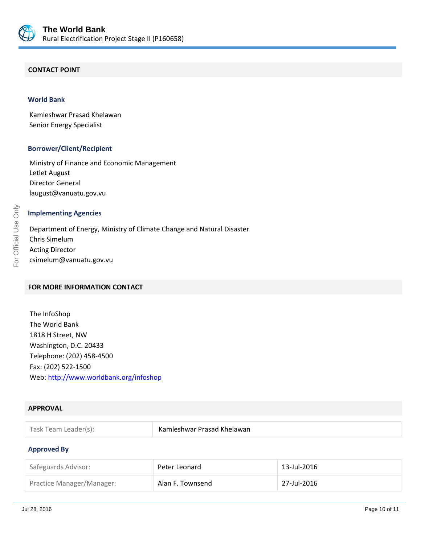

## **CONTACT POINT**

#### **World Bank**

Kamleshwar Prasad Khelawan Senior Energy Specialist

#### **Borrower/Client/Recipient**

Ministry of Finance and Economic Management Letlet August Director General laugust@vanuatu.gov.vu

### **Implementing Agencies**

Department of Energy, Ministry of Climate Change and Natural Disaster Chris Simelum Acting Director csimelum@vanuatu.gov.vu

# **FOR MORE INFORMATION CONTACT**

The InfoShop The World Bank 1818 H Street, NW Washington, D.C. 20433 Telephone: (202) 458-4500 Fax: (202) 522-1500 Web[: http://www.worldbank.org/infoshop](http://www.worldbank.org/infoshop)

## **APPROVAL**

| Task Team Leader(s): | Kamleshwar Prasad Khelawan |
|----------------------|----------------------------|
|----------------------|----------------------------|

#### **Approved By**

| Safeguards Advisor:       | Peter Leonard    | 13-Jul-2016 |
|---------------------------|------------------|-------------|
| Practice Manager/Manager: | Alan F. Townsend | 27-Jul-2016 |